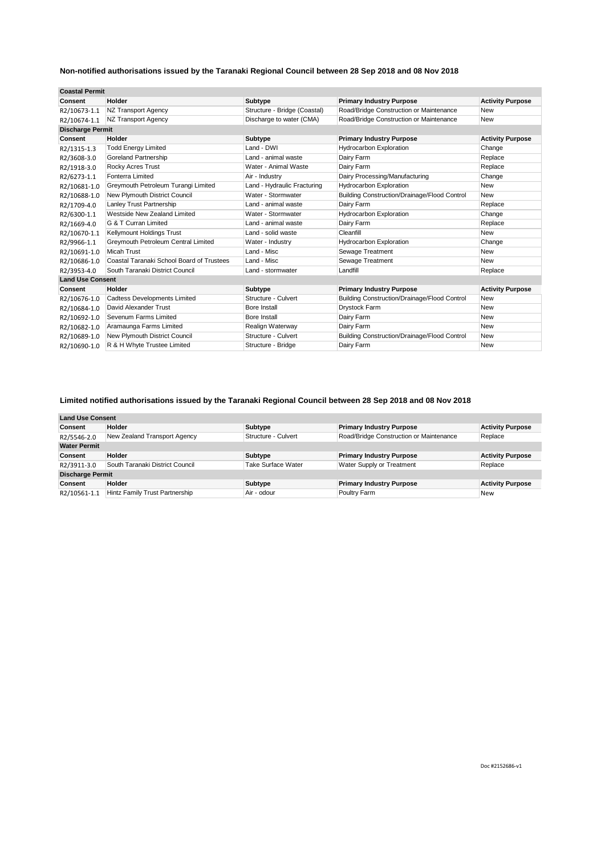| <b>Coastal Permit</b>   |                                           |                              |                                                     |                         |
|-------------------------|-------------------------------------------|------------------------------|-----------------------------------------------------|-------------------------|
| Consent                 | Holder                                    | Subtype                      | <b>Primary Industry Purpose</b>                     | <b>Activity Purpose</b> |
| R2/10673-1.1            | NZ Transport Agency                       | Structure - Bridge (Coastal) | Road/Bridge Construction or Maintenance             | <b>New</b>              |
| R2/10674-1.1            | NZ Transport Agency                       | Discharge to water (CMA)     | Road/Bridge Construction or Maintenance             | <b>New</b>              |
| <b>Discharge Permit</b> |                                           |                              |                                                     |                         |
| Consent                 | Holder                                    | Subtype                      | <b>Primary Industry Purpose</b>                     | <b>Activity Purpose</b> |
| R2/1315-1.3             | <b>Todd Energy Limited</b>                | Land - DWI                   | <b>Hydrocarbon Exploration</b>                      | Change                  |
| R2/3608-3.0             | <b>Goreland Partnership</b>               | Land - animal waste          | Dairy Farm                                          | Replace                 |
| R2/1918-3.0             | <b>Rocky Acres Trust</b>                  | Water - Animal Waste         | Dairy Farm                                          | Replace                 |
| R2/6273-1.1             | Fonterra Limited                          | Air - Industry               | Dairy Processing/Manufacturing                      | Change                  |
| R2/10681-1.0            | Greymouth Petroleum Turangi Limited       | Land - Hydraulic Fracturing  | <b>Hydrocarbon Exploration</b>                      | <b>New</b>              |
| R2/10688-1.0            | New Plymouth District Council             | Water - Stormwater           | Building Construction/Drainage/Flood Control        | <b>New</b>              |
| R2/1709-4.0             | Lanley Trust Partnership                  | Land - animal waste          | Dairy Farm                                          | Replace                 |
| R2/6300-1.1             | Westside New Zealand Limited              | Water - Stormwater           | <b>Hydrocarbon Exploration</b>                      | Change                  |
| R2/1669-4.0             | G & T Curran Limited                      | Land - animal waste          | Dairy Farm                                          | Replace                 |
| R2/10670-1.1            | Kellymount Holdings Trust                 | Land - solid waste           | Cleanfill                                           | <b>New</b>              |
| R2/9966-1.1             | Greymouth Petroleum Central Limited       | Water - Industry             | <b>Hydrocarbon Exploration</b>                      | Change                  |
| R2/10691-1.0            | <b>Micah Trust</b>                        | Land - Misc                  | Sewage Treatment                                    | <b>New</b>              |
| R2/10686-1.0            | Coastal Taranaki School Board of Trustees | Land - Misc                  | Sewage Treatment                                    | <b>New</b>              |
| R2/3953-4.0             | South Taranaki District Council           | Land - stormwater            | Landfill                                            | Replace                 |
| <b>Land Use Consent</b> |                                           |                              |                                                     |                         |
| Consent                 | Holder                                    | Subtype                      | <b>Primary Industry Purpose</b>                     | <b>Activity Purpose</b> |
| R2/10676-1.0            | <b>Cadtess Developments Limited</b>       | Structure - Culvert          | Building Construction/Drainage/Flood Control        | <b>New</b>              |
| R2/10684-1.0            | David Alexander Trust                     | Bore Install                 | <b>Drystock Farm</b>                                | <b>New</b>              |
| R2/10692-1.0            | Sevenum Farms Limited                     | Bore Install                 | Dairy Farm                                          | <b>New</b>              |
| R2/10682-1.0            | Aramaunga Farms Limited                   | Realign Waterway             | Dairy Farm                                          | <b>New</b>              |
| R2/10689-1.0            | New Plymouth District Council             | Structure - Culvert          | <b>Building Construction/Drainage/Flood Control</b> | <b>New</b>              |
| R2/10690-1.0            | R & H Whyte Trustee Limited               | Structure - Bridge           | Dairy Farm                                          | <b>New</b>              |

# **Limited notified authorisations issued by the Taranaki Regional Council between 28 Sep 2018 and 08 Nov 2018**

| <b>Land Use Consent</b> |                                       |                     |                                         |                         |
|-------------------------|---------------------------------------|---------------------|-----------------------------------------|-------------------------|
| Consent                 | Holder                                | Subtype             | <b>Primary Industry Purpose</b>         | <b>Activity Purpose</b> |
| R2/5546-2.0             | New Zealand Transport Agency          | Structure - Culvert | Road/Bridge Construction or Maintenance | Replace                 |
| <b>Water Permit</b>     |                                       |                     |                                         |                         |
| Consent                 | Holder                                | Subtype             | <b>Primary Industry Purpose</b>         | <b>Activity Purpose</b> |
| R2/3911-3.0             | South Taranaki District Council       | Take Surface Water  | Water Supply or Treatment               | Replace                 |
| <b>Discharge Permit</b> |                                       |                     |                                         |                         |
| Consent                 | <b>Holder</b>                         | Subtype             | <b>Primary Industry Purpose</b>         | <b>Activity Purpose</b> |
| R2/10561-1.1            | <b>Hintz Family Trust Partnership</b> | Air - odour         | Poultry Farm                            | New                     |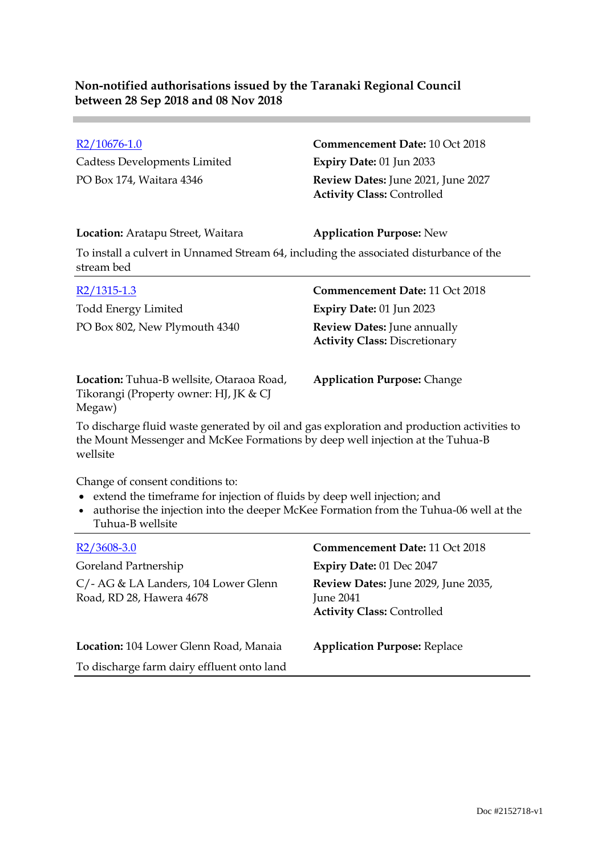Cadtess Developments Limited **Expiry Date:** 01 Jun 2033

### R2/10676-1.0 **Commencement Date:** 10 Oct 2018

PO Box 174, Waitara 4346 **Review Dates:** June 2021, June 2027 **Activity Class:** Controlled

### **Location:** Aratapu Street, Waitara **Application Purpose:** New

To install a culvert in Unnamed Stream 64, including the associated disturbance of the stream bed

| $R2/1315-1.3$                            | <b>Commencement Date: 11 Oct 2018</b>                                      |
|------------------------------------------|----------------------------------------------------------------------------|
| Todd Energy Limited                      | <b>Expiry Date: 01 Jun 2023</b>                                            |
| PO Box 802, New Plymouth 4340            | <b>Review Dates:</b> June annually<br><b>Activity Class: Discretionary</b> |
| Location: Tubua B wolletto, Otaxaoa Road | Application Purpose: Change                                                |

**Location:** Tuhua-B wellsite, Otaraoa Road, Tikorangi (Property owner: HJ, JK & CJ Megaw)

**Application Purpose:** Change

To discharge fluid waste generated by oil and gas exploration and production activities to the Mount Messenger and McKee Formations by deep well injection at the Tuhua-B wellsite

Change of consent conditions to:

- extend the timeframe for injection of fluids by deep well injection; and
- authorise the injection into the deeper McKee Formation from the Tuhua-06 well at the Tuhua-B wellsite

| $R2/3608-3.0$                                                    | <b>Commencement Date: 11 Oct 2018</b>                                                        |
|------------------------------------------------------------------|----------------------------------------------------------------------------------------------|
| Goreland Partnership                                             | Expiry Date: 01 Dec 2047                                                                     |
| C/- AG & LA Landers, 104 Lower Glenn<br>Road, RD 28, Hawera 4678 | Review Dates: June 2029, June 2035,<br><b>June 2041</b><br><b>Activity Class: Controlled</b> |
| Location: 104 Lower Glenn Road, Manaia                           | <b>Application Purpose: Replace</b>                                                          |
| To discharge farm dairy effluent onto land                       |                                                                                              |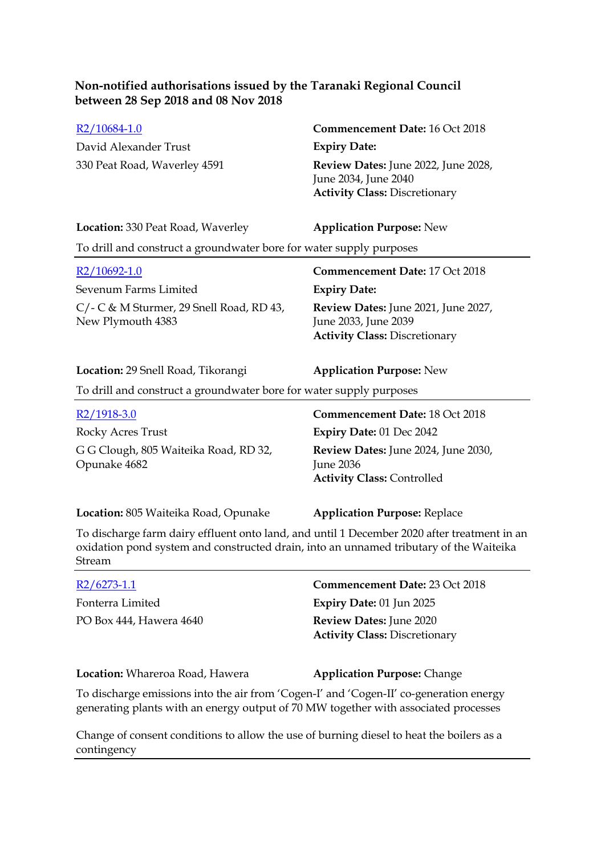David Alexander Trust **Expiry Date:**

R2/10684-1.0 **Commencement Date:** 16 Oct 2018 330 Peat Road, Waverley 4591 **Review Dates:** June 2022, June 2028, June 2034, June 2040 **Activity Class:** Discretionary

### **Location:** 330 Peat Road, Waverley **Application Purpose:** New

To drill and construct a groundwater bore for water supply purposes

Sevenum Farms Limited **Expiry Date:** C/- C & M Sturmer, 29 Snell Road, RD 43, New Plymouth 4383

# R2/10692-1.0 **Commencement Date:** 17 Oct 2018 **Review Dates:** June 2021, June 2027, June 2033, June 2039 **Activity Class:** Discretionary

# **Location:** 29 Snell Road, Tikorangi **Application Purpose:** New

To drill and construct a groundwater bore for water supply purposes

| $R2/1918-3.0$                                         | <b>Commencement Date: 18 Oct 2018</b>                                                        |
|-------------------------------------------------------|----------------------------------------------------------------------------------------------|
| Rocky Acres Trust                                     | <b>Expiry Date: 01 Dec 2042</b>                                                              |
| G G Clough, 805 Waiteika Road, RD 32,<br>Opunake 4682 | Review Dates: June 2024, June 2030,<br><b>June 2036</b><br><b>Activity Class: Controlled</b> |

**Location:** 805 Waiteika Road, Opunake **Application Purpose:** Replace

To discharge farm dairy effluent onto land, and until 1 December 2020 after treatment in an oxidation pond system and constructed drain, into an unnamed tributary of the Waiteika Stream

| $R2/6273-1.1$           | <b>Commencement Date: 23 Oct 2018</b>                                  |
|-------------------------|------------------------------------------------------------------------|
| Fonterra Limited        | Expiry Date: $01$ Jun 2025                                             |
| PO Box 444, Hawera 4640 | <b>Review Dates: June 2020</b><br><b>Activity Class: Discretionary</b> |
|                         |                                                                        |

**Location:** Whareroa Road, Hawera **Application Purpose:** Change

To discharge emissions into the air from 'Cogen-I' and 'Cogen-II' co-generation energy generating plants with an energy output of 70 MW together with associated processes

Change of consent conditions to allow the use of burning diesel to heat the boilers as a contingency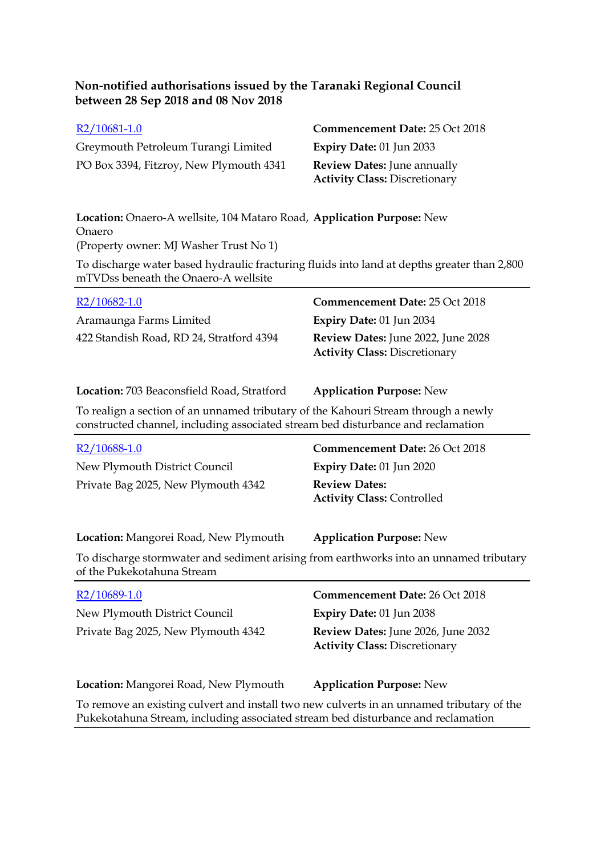| $R2/10681-1.0$                          | <b>Commencement Date: 25 Oct 2018</b> |
|-----------------------------------------|---------------------------------------|
| Greymouth Petroleum Turangi Limited     | Expiry Date: $01$ Jun 2033            |
| PO Box 3394, Fitzroy, New Plymouth 4341 | <b>Review Dates:</b> June annually    |
|                                         | <b>Activity Class: Discretionary</b>  |

**Location:** Onaero-A wellsite, 104 Mataro Road, **Application Purpose:** New Onaero (Property owner: MJ Washer Trust No 1)

To discharge water based hydraulic fracturing fluids into land at depths greater than 2,800 mTVDss beneath the Onaero-A wellsite

| $R2/10682-1.0$                           | <b>Commencement Date: 25 Oct 2018</b>                                             |
|------------------------------------------|-----------------------------------------------------------------------------------|
| Aramaunga Farms Limited                  | Expiry Date: $01$ Jun 2034                                                        |
| 422 Standish Road, RD 24, Stratford 4394 | <b>Review Dates:</b> June 2022, June 2028<br><b>Activity Class: Discretionary</b> |

**Location:** 703 Beaconsfield Road, Stratford **Application Purpose:** New

To realign a section of an unnamed tributary of the Kahouri Stream through a newly constructed channel, including associated stream bed disturbance and reclamation

| R <sub>2</sub> /10688-1.0<br>New Plymouth District Council<br>Private Bag 2025, New Plymouth 4342                                                                                                                      | <b>Commencement Date: 26 Oct 2018</b><br><b>Expiry Date: 01 Jun 2020</b><br><b>Review Dates:</b><br><b>Activity Class: Controlled</b>                         |
|------------------------------------------------------------------------------------------------------------------------------------------------------------------------------------------------------------------------|---------------------------------------------------------------------------------------------------------------------------------------------------------------|
| <b>Location:</b> Mangorei Road, New Plymouth<br>To discharge stormwater and sediment arising from earthworks into an unnamed tributary<br>of the Pukekotahuna Stream                                                   | <b>Application Purpose: New</b>                                                                                                                               |
| $R2/10689-1.0$<br>New Plymouth District Council<br>Private Bag 2025, New Plymouth 4342                                                                                                                                 | <b>Commencement Date: 26 Oct 2018</b><br><b>Expiry Date: 01 Jun 2038</b><br><b>Review Dates:</b> June 2026, June 2032<br><b>Activity Class: Discretionary</b> |
| Location: Mangorei Road, New Plymouth<br>To remove an existing culvert and install two new culverts in an unnamed tributary of the<br>Pukekotahuna Stream, including associated stream bed disturbance and reclamation | <b>Application Purpose: New</b>                                                                                                                               |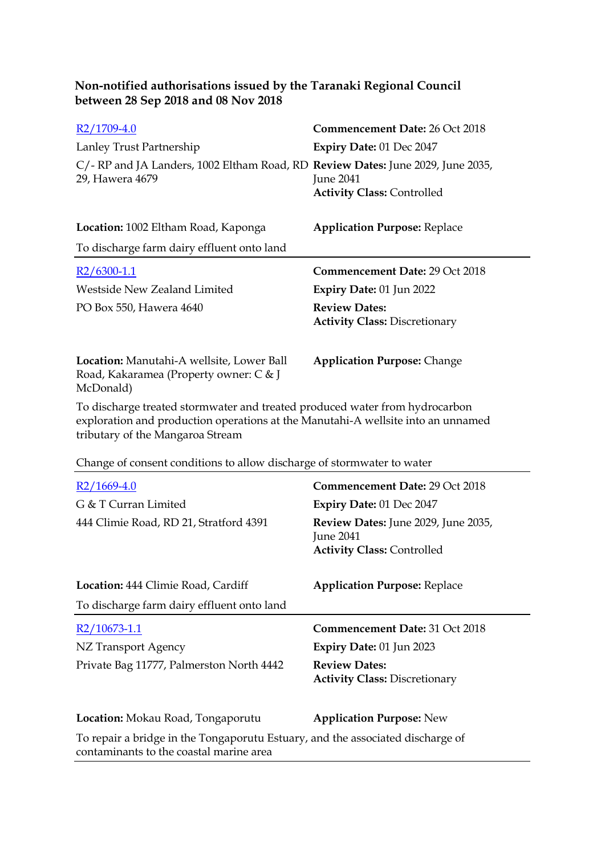| R2/1709-4.0                                                                                                                                                     | Commencement Date: 26 Oct 2018                               |
|-----------------------------------------------------------------------------------------------------------------------------------------------------------------|--------------------------------------------------------------|
| Lanley Trust Partnership                                                                                                                                        | Expiry Date: 01 Dec 2047                                     |
| C/- RP and JA Landers, 1002 Eltham Road, RD Review Dates: June 2029, June 2035,<br>29, Hawera 4679                                                              | <b>June 2041</b><br><b>Activity Class: Controlled</b>        |
| <b>Location:</b> 1002 Eltham Road, Kaponga                                                                                                                      | <b>Application Purpose: Replace</b>                          |
| To discharge farm dairy effluent onto land                                                                                                                      |                                                              |
| $R2/6300-1.1$                                                                                                                                                   | <b>Commencement Date: 29 Oct 2018</b>                        |
| Westside New Zealand Limited                                                                                                                                    | <b>Expiry Date: 01 Jun 2022</b>                              |
| PO Box 550, Hawera 4640                                                                                                                                         | <b>Review Dates:</b><br><b>Activity Class: Discretionary</b> |
| Location: Manutahi-A wellsite, Lower Ball<br>Road, Kakaramea (Property owner: C & J<br>McDonald)                                                                | <b>Application Purpose: Change</b>                           |
| To discharge treated stormwater and treated produced water from hydrocarbon<br>exploration and production operations at the Manutahi-A wellsite into an unnamed |                                                              |

tributary of the Mangaroa Stream

Change of consent conditions to allow discharge of stormwater to water

| $R2/1669-4.0$                              | <b>Commencement Date: 29 Oct 2018</b>                                                        |
|--------------------------------------------|----------------------------------------------------------------------------------------------|
| G & T Curran Limited                       | <b>Expiry Date: 01 Dec 2047</b>                                                              |
| 444 Climie Road, RD 21, Stratford 4391     | Review Dates: June 2029, June 2035,<br><b>June 2041</b><br><b>Activity Class: Controlled</b> |
| Location: 444 Climie Road, Cardiff         | <b>Application Purpose: Replace</b>                                                          |
| To discharge farm dairy effluent onto land |                                                                                              |
| $R2/10673-1.1$                             | <b>Commencement Date: 31 Oct 2018</b>                                                        |
|                                            |                                                                                              |
| NZ Transport Agency                        | <b>Expiry Date: 01 Jun 2023</b>                                                              |
| Private Bag 11777, Palmerston North 4442   | <b>Review Dates:</b><br><b>Activity Class: Discretionary</b>                                 |
| Location: Mokau Road, Tongaporutu          | <b>Application Purpose: New</b>                                                              |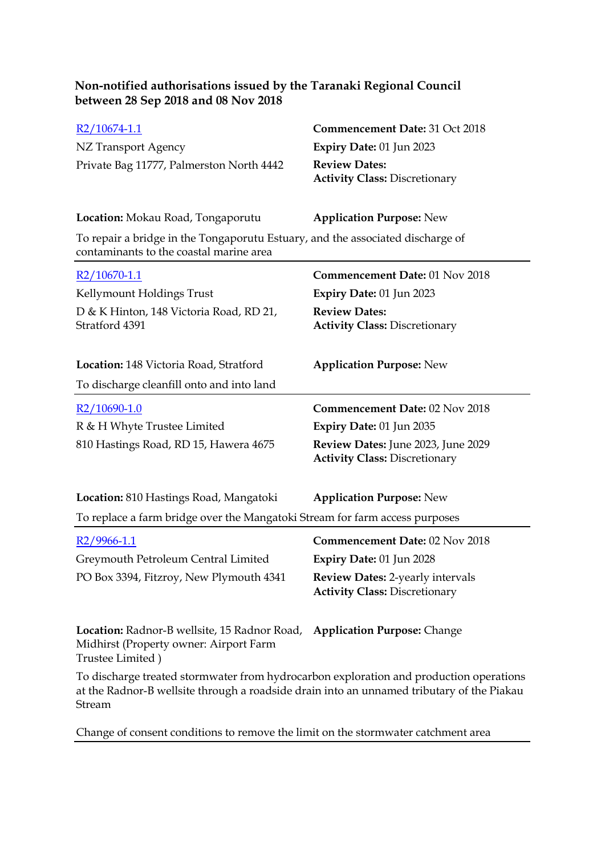| R2/10674-1.1                                                                                                                                                                                  | Commencement Date: 31 Oct 2018                                             |
|-----------------------------------------------------------------------------------------------------------------------------------------------------------------------------------------------|----------------------------------------------------------------------------|
| NZ Transport Agency                                                                                                                                                                           | Expiry Date: 01 Jun 2023                                                   |
| Private Bag 11777, Palmerston North 4442                                                                                                                                                      | <b>Review Dates:</b><br><b>Activity Class: Discretionary</b>               |
| <b>Location:</b> Mokau Road, Tongaporutu                                                                                                                                                      | <b>Application Purpose: New</b>                                            |
| To repair a bridge in the Tongaporutu Estuary, and the associated discharge of<br>contaminants to the coastal marine area                                                                     |                                                                            |
| $R2/10670-1.1$                                                                                                                                                                                | Commencement Date: 01 Nov 2018                                             |
| Kellymount Holdings Trust                                                                                                                                                                     | Expiry Date: 01 Jun 2023                                                   |
| D & K Hinton, 148 Victoria Road, RD 21,<br>Stratford 4391                                                                                                                                     | <b>Review Dates:</b><br><b>Activity Class: Discretionary</b>               |
| Location: 148 Victoria Road, Stratford                                                                                                                                                        | <b>Application Purpose: New</b>                                            |
| To discharge cleanfill onto and into land                                                                                                                                                     |                                                                            |
| R2/10690-1.0                                                                                                                                                                                  | Commencement Date: 02 Nov 2018                                             |
| R & H Whyte Trustee Limited                                                                                                                                                                   | Expiry Date: 01 Jun 2035                                                   |
| 810 Hastings Road, RD 15, Hawera 4675                                                                                                                                                         | Review Dates: June 2023, June 2029<br><b>Activity Class: Discretionary</b> |
| Location: 810 Hastings Road, Mangatoki                                                                                                                                                        | <b>Application Purpose: New</b>                                            |
| To replace a farm bridge over the Mangatoki Stream for farm access purposes                                                                                                                   |                                                                            |
| R2/9966-1.1                                                                                                                                                                                   | Commencement Date: 02 Nov 2018                                             |
| Greymouth Petroleum Central Limited                                                                                                                                                           | <b>Expiry Date: 01 Jun 2028</b>                                            |
| PO Box 3394, Fitzroy, New Plymouth 4341                                                                                                                                                       | Review Dates: 2-yearly intervals<br><b>Activity Class: Discretionary</b>   |
| Location: Radnor-B wellsite, 15 Radnor Road, Application Purpose: Change<br>Midhirst (Property owner: Airport Farm<br>Trustee Limited)                                                        |                                                                            |
| To discharge treated stormwater from hydrocarbon exploration and production operations<br>at the Radnor-B wellsite through a roadside drain into an unnamed tributary of the Piakau<br>Stream |                                                                            |
| Change of consent conditions to remove the limit on the stormwater catchment area                                                                                                             |                                                                            |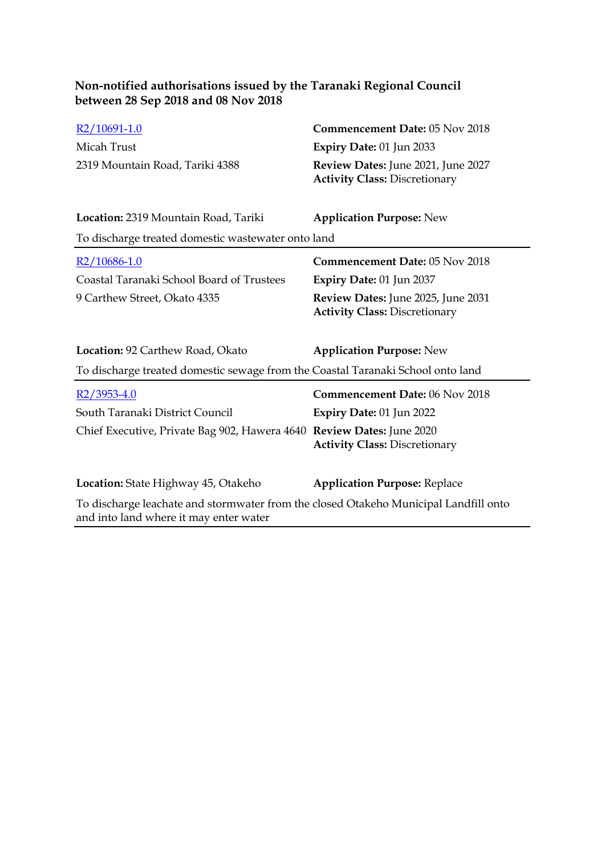| R2/10691-1.0                                                                                                                   | Commencement Date: 05 Nov 2018                                             |
|--------------------------------------------------------------------------------------------------------------------------------|----------------------------------------------------------------------------|
| Micah Trust                                                                                                                    | Expiry Date: 01 Jun 2033                                                   |
| 2319 Mountain Road, Tariki 4388                                                                                                | Review Dates: June 2021, June 2027<br><b>Activity Class: Discretionary</b> |
| Location: 2319 Mountain Road, Tariki                                                                                           | <b>Application Purpose: New</b>                                            |
| To discharge treated domestic wastewater onto land                                                                             |                                                                            |
| $R2/10686-1.0$                                                                                                                 | <b>Commencement Date: 05 Nov 2018</b>                                      |
| Coastal Taranaki School Board of Trustees                                                                                      | <b>Expiry Date: 01 Jun 2037</b>                                            |
| 9 Carthew Street, Okato 4335                                                                                                   | Review Dates: June 2025, June 2031<br><b>Activity Class: Discretionary</b> |
| Location: 92 Carthew Road, Okato                                                                                               | <b>Application Purpose: New</b>                                            |
| To discharge treated domestic sewage from the Coastal Taranaki School onto land                                                |                                                                            |
| $R2/3953 - 4.0$                                                                                                                | Commencement Date: 06 Nov 2018                                             |
| South Taranaki District Council                                                                                                | <b>Expiry Date: 01 Jun 2022</b>                                            |
| Chief Executive, Private Bag 902, Hawera 4640 Review Dates: June 2020                                                          | <b>Activity Class: Discretionary</b>                                       |
| Location: State Highway 45, Otakeho                                                                                            | <b>Application Purpose: Replace</b>                                        |
| To discharge leachate and stormwater from the closed Otakeho Municipal Landfill onto<br>and into land where it may enter water |                                                                            |